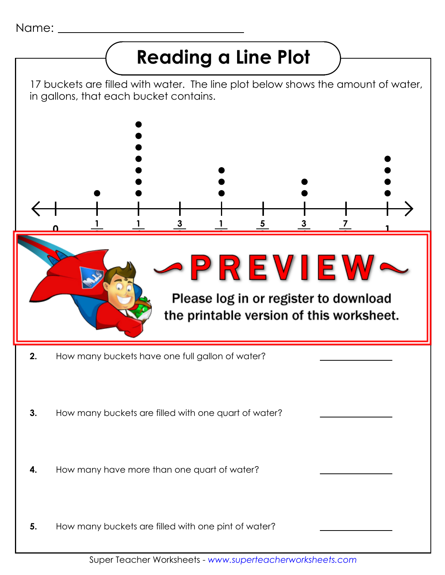Name:

## **Reading a Line Plot**

17 buckets are filled with water. The line plot below shows the amount of water, in gallons, that each bucket contains.



Super Teacher Worksheets - *www.superteacherworksheets.com*